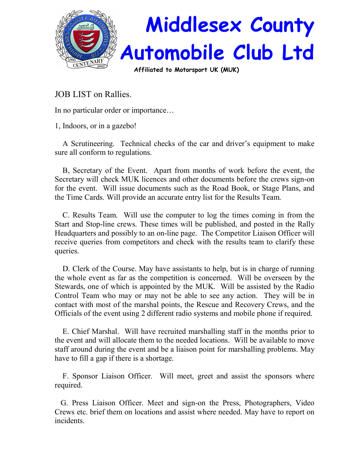

JOB LIST on Rallies.

In no particular order or importance…

1, Indoors, or in a gazebo!

 A Scrutineering. Technical checks of the car and driver's equipment to make sure all conform to regulations.

 B, Secretary of the Event. Apart from months of work before the event, the Secretary will check MUK licences and other documents before the crews sign-on for the event. Will issue documents such as the Road Book, or Stage Plans, and the Time Cards. Will provide an accurate entry list for the Results Team.

 C. Results Team. Will use the computer to log the times coming in from the Start and Stop-line crews. These times will be published, and posted in the Rally Headquarters and possibly to an on-line page. The Competitor Liaison Officer will receive queries from competitors and check with the results team to clarify these queries.

 D. Clerk of the Course. May have assistants to help, but is in charge of running the whole event as far as the competition is concerned. Will be overseen by the Stewards, one of which is appointed by the MUK. Will be assisted by the Radio Control Team who may or may not be able to see any action. They will be in contact with most of the marshal points, the Rescue and Recovery Crews, and the Officials of the event using 2 different radio systems and mobile phone if required.

 E. Chief Marshal. Will have recruited marshalling staff in the months prior to the event and will allocate them to the needed locations. Will be available to move staff around during the event and be a liaison point for marshalling problems. May have to fill a gap if there is a shortage.

 F. Sponsor Liaison Officer. Will meet, greet and assist the sponsors where required.

 G. Press Liaison Officer. Meet and sign-on the Press, Photographers, Video Crews etc. brief them on locations and assist where needed. May have to report on incidents.